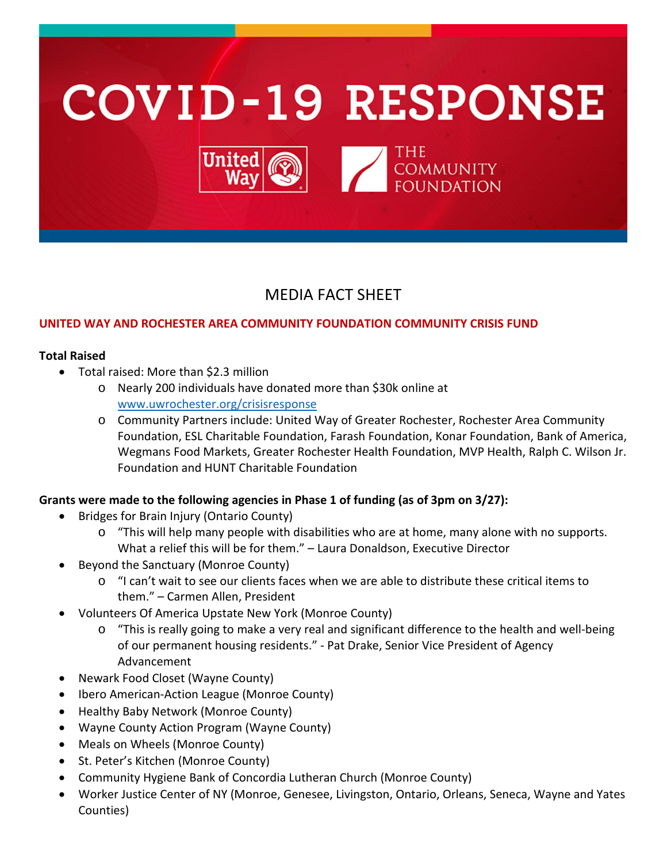

# MEDIA FACT SHEET

## **UNITED WAY AND ROCHESTER AREA COMMUNITY FOUNDATION COMMUNITY CRISIS FUND**

#### **Total Raised**

- Total raised: More than \$2.3 million
	- o Nearly 200 individuals have donated more than \$30k online at [www.uwrochester.org/crisisresponse](http://www.uwrochester.org/crisisresponse)
	- o Community Partners include: United Way of Greater Rochester, Rochester Area Community Foundation, ESL Charitable Foundation, Farash Foundation, Konar Foundation, Bank of America, Wegmans Food Markets, Greater Rochester Health Foundation, MVP Health, Ralph C. Wilson Jr. Foundation and HUNT Charitable Foundation

### **Grants were made to the following agencies in Phase 1 of funding (as of 3pm on 3/27):**

- Bridges for Brain Injury (Ontario County)
	- o "This will help many people with disabilities who are at home, many alone with no supports. What a relief this will be for them." – Laura Donaldson, Executive Director
- Beyond the Sanctuary (Monroe County)
	- o "I can't wait to see our clients faces when we are able to distribute these critical items to them." – Carmen Allen, President
- Volunteers Of America Upstate New York (Monroe County)
	- o "This is really going to make a very real and significant difference to the health and well-being of our permanent housing residents." - Pat Drake, Senior Vice President of Agency Advancement
- Newark Food Closet (Wayne County)
- Ibero American-Action League (Monroe County)
- Healthy Baby Network (Monroe County)
- Wayne County Action Program (Wayne County)
- Meals on Wheels (Monroe County)
- St. Peter's Kitchen (Monroe County)
- Community Hygiene Bank of Concordia Lutheran Church (Monroe County)
- Worker Justice Center of NY (Monroe, Genesee, Livingston, Ontario, Orleans, Seneca, Wayne and Yates Counties)